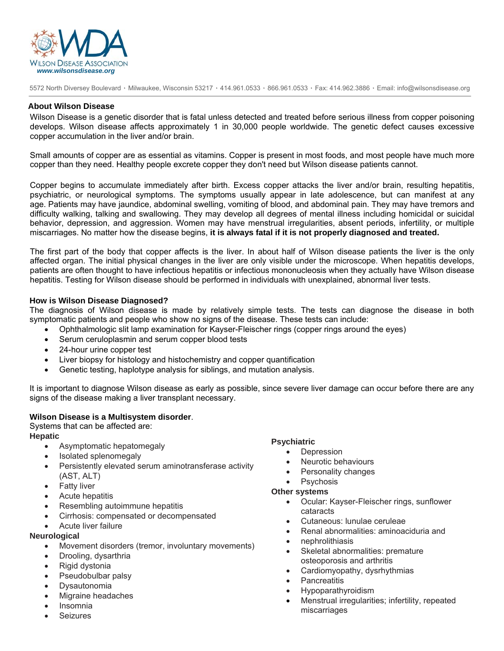

5572 North Diversey Boulevard ٠ Milwaukee, Wisconsin 53217 ٠ 414.961.0533 ٠ 866.961.0533 ٠ Fax: 414.962.3886 ٠ Email: info@wilsonsdisease.org

### **About Wilson Disease**

Wilson Disease is a genetic disorder that is fatal unless detected and treated before serious illness from copper poisoning develops. Wilson disease affects approximately 1 in 30,000 people worldwide. The genetic defect causes excessive copper accumulation in the liver and/or brain.

Small amounts of copper are as essential as vitamins. Copper is present in most foods, and most people have much more copper than they need. Healthy people excrete copper they don't need but Wilson disease patients cannot.

Copper begins to accumulate immediately after birth. Excess copper attacks the liver and/or brain, resulting hepatitis, psychiatric, or neurological symptoms. The symptoms usually appear in late adolescence, but can manifest at any age. Patients may have jaundice, abdominal swelling, vomiting of blood, and abdominal pain. They may have tremors and difficulty walking, talking and swallowing. They may develop all degrees of mental illness including homicidal or suicidal behavior, depression, and aggression. Women may have menstrual irregularities, absent periods, infertility, or multiple miscarriages. No matter how the disease begins, **it is always fatal if it is not properly diagnosed and treated.** 

The first part of the body that copper affects is the liver. In about half of Wilson disease patients the liver is the only affected organ. The initial physical changes in the liver are only visible under the microscope. When hepatitis develops, patients are often thought to have infectious hepatitis or infectious mononucleosis when they actually have Wilson disease hepatitis. Testing for Wilson disease should be performed in individuals with unexplained, abnormal liver tests.

## **How is Wilson Disease Diagnosed?**

The diagnosis of Wilson disease is made by relatively simple tests. The tests can diagnose the disease in both symptomatic patients and people who show no signs of the disease. These tests can include:

- Ophthalmologic slit lamp examination for Kayser-Fleischer rings (copper rings around the eyes)
- Serum ceruloplasmin and serum copper blood tests
- 24-hour urine copper test
- Liver biopsy for histology and histochemistry and copper quantification
- Genetic testing, haplotype analysis for siblings, and mutation analysis.

It is important to diagnose Wilson disease as early as possible, since severe liver damage can occur before there are any signs of the disease making a liver transplant necessary.

### **Wilson Disease is a Multisystem disorder**.

Systems that can be affected are: **Hepatic** 

- Asymptomatic hepatomegaly
- Isolated splenomegaly
- Persistently elevated serum aminotransferase activity (AST, ALT)
- **Fatty liver**
- Acute hepatitis
- Resembling autoimmune hepatitis
- Cirrhosis: compensated or decompensated
- Acute liver failure

## **Neurological**

- Movement disorders (tremor, involuntary movements)
- Drooling, dysarthria
- Rigid dystonia
- Pseudobulbar palsy
- **Dysautonomia**
- Migraine headaches
- Insomnia
- **Seizures**

## **Psychiatric**

- **Depression**
- Neurotic behaviours
- Personality changes
- **Psychosis**

#### **Other systems**

- Ocular: Kayser-Fleischer rings, sunflower cataracts
- Cutaneous: lunulae ceruleae
- Renal abnormalities: aminoaciduria and
- nephrolithiasis
- Skeletal abnormalities: premature osteoporosis and arthritis
- Cardiomyopathy, dysrhythmias
- **Pancreatitis**
- Hypoparathyroidism
- Menstrual irregularities; infertility, repeated miscarriages